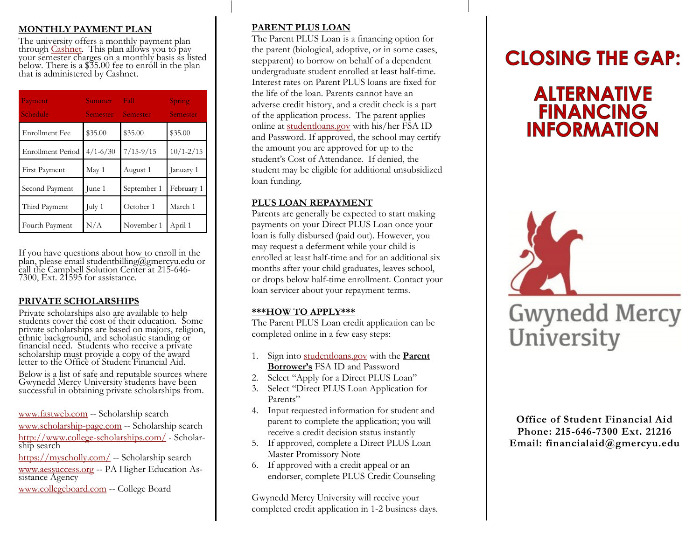#### **MONTHLY PAYMENT PLAN**

The university offers a monthly payment plan through Cashinet. This plan allows you to pay your semester charges on a monthly basis as listed below. There is a \$35.00 fee to enroll in the plan that is administered by Cashnet.

| Payment<br>Schedule      | Summer<br><b>Semester</b> | Fall<br>Semester | Spring<br><b>Semester</b> |
|--------------------------|---------------------------|------------------|---------------------------|
| Enrollment Fee           | \$35.00                   | \$35.00          | \$35.00                   |
| <b>Enrollment Period</b> | $4/1 - 6/30$              | $7/15 - 9/15$    | $10/1 - 2/15$             |
| <b>First Payment</b>     | May 1                     | August 1         | January 1                 |
| Second Payment           | June 1                    | September 1      | February 1                |
| Third Payment            | July 1                    | October 1        | March 1                   |
| Fourth Payment           | N/A                       | November 1       | April 1                   |

If you have questions about how to enroll in the plan, please email studentbilling@gmercyu.edu or call the Campbell Solution Center at 215-646- 7300, Ext. 21595 for assistance.

#### **PRIVATE SCHOLARSHIPS**

Private scholarships also are available to help students cover the cost of their education. Some private scholarships are based on majors, religion, ethnic background, and scholastic standing or financial need. Students who receive a private scholarship must provide a copy of the award letter to the Office of Student Financial Aid.

Below is a list of safe and reputable sources where Gwynedd Mercy University students have been successful in obtaining private scholarships from.

[www.fastweb.com](http://www.fastweb.com/) -- Scholarship search

[www.scholarship-page.com](http://www.scholarship-page.com/) -- Scholarship search <http://www.college-scholarships.com/> - Scholarship search

<https://myscholly.com/> -- Scholarship search [www.aessuccess.org](http://www.pheaa.org/) -- PA Higher Education Assistance Agency

[www.collegeboard.com](http://www.collegeboard.com/) -- College Board

#### **PARENT PLUS LOAN**

The Parent PLUS Loan is a financing option for the parent (biological, adoptive, or in some cases, stepparent) to borrow on behalf of a dependent undergraduate student enrolled at least half-time. Interest rates on Parent PLUS loans are fixed for the life of the loan. Parents cannot have an adverse credit history, and a credit check is a part of the application process. The parent applies online at [studentloans.gov](https://studentloans.gov/myDirectLoan/index.action) with his/her FSA ID and Password. If approved, the school may certify the amount you are approved for up to the student's Cost of Attendance. If denied, the student may be eligible for additional unsubsidized loan funding.

## **PLUS LOAN REPAYMENT**

Parents are generally be expected to start making payments on your Direct PLUS Loan once your loan is fully disbursed (paid out). However, you may request a deferment while your child is enrolled at least half-time and for an additional six months after your child graduates, leaves school, or drops below half-time enrollment. Contact your loan servicer about your repayment terms.

#### **\*\*\*HOW TO APPLY\*\*\***

The Parent PLUS Loan credit application can be completed online in a few easy steps:

- 1. Sign into [studentloans.gov](https://studentloans.gov/myDirectLoan/index.action) with the **Parent Borrower's** FSA ID and Password
- 2. Select "Apply for a Direct PLUS Loan"
- 3. Select "Direct PLUS Loan Application for Parents"
- I at this<br>4. Input requested information for student and parent to complete the application; you will receive a credit decision status instantly
- 5. If approved, complete a Direct PLUS Loan Master Promissory Note
- endorser, complete PLUS Credit Counseling Fax: 215.248.7217 6. If approved with a credit appeal or an

Gwynedd Mercy University will receive your completed credit application in 1-2 business days.

# **CLOSING THE GAP:**

# **ALTERNATIVE FINANCING INFORMATION**



**Office of Student Financial Aid Phone: 215-646-7300 Ext. 21216 Email: financialaid@gmercyu.edu**